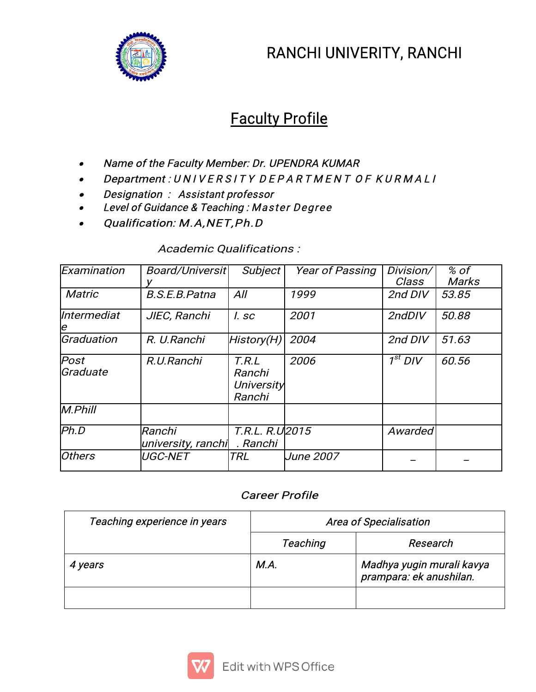

# RANCHI UNIVERITY, RANCHI

# **Faculty Profile**

- . Name of the Faculty Member: Dr. UPENDRA KUMAR
- 0 Department:UNIVERSITYDEPARTMENTOFKURMALI
- 0 Designation: Assistant professor
- 0 Level of Guidance & Teaching: Master Degree
- 0 Qualification: M.A, NET, Ph.D

#### Examination | Board/Universit| Subject | Year of Passing | Division/ | % of |  $y \qquad \qquad$ Class Marks % of  $\blacksquare$ Matric B.S.E.B.Patna All 1999 2nd DIV 53.85 Intermediat JIEC,Ranchi I.sc 2001 2ndDIV 50.88 e Graduation  $|R$ . U.Ranchi  $|H$ istory $(H)|$  2004  $|$  2nd DIV  $|$  51.63  $|$ Post R.U.Ranchi T.R.L Graduate Ranchi **University** Ranchi 2006 1st DIV 160.56 1st  $1^{st}$  DIV 160.56 1st  $\sim$  1st  $\sim$ M.Phill Ph.D Ranchi T.R.L.R.U university, ranchi .Ranchi **Awarded** Others |UGC-NET |TRL |June 2007 | \_ | \_ |

## Academic Qualifications:

# **Career Profile**

| Teaching experience in years | <b>Area of Specialisation</b> |                                                      |  |
|------------------------------|-------------------------------|------------------------------------------------------|--|
|                              | <b>Teaching</b>               | Research                                             |  |
| 4 years                      | M.A.                          | Madhya yugin murali kavya<br>prampara: ek anushilan. |  |
|                              |                               |                                                      |  |

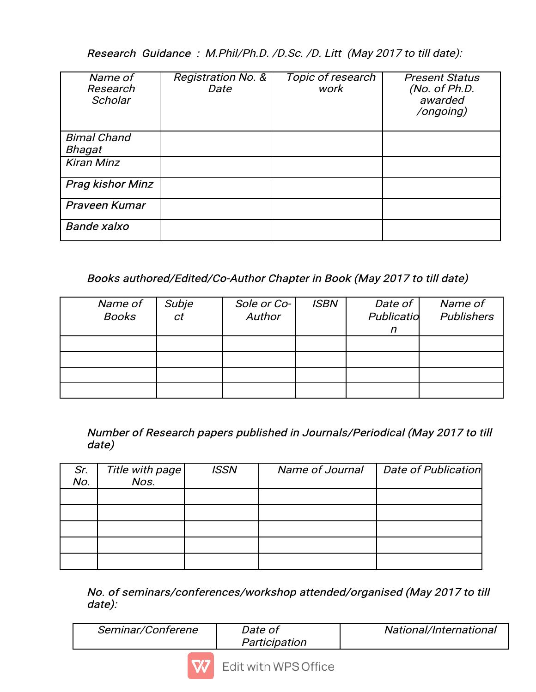Research Guidance: M.Phil/Ph.D. /D.Sc. /D. Litt (May 2017 to till date):

| Name of<br>Research<br>Scholar | <b>Registration No. &amp;</b><br>Date | Topic of research<br>work | <b>Present Status</b><br>(No. of Ph.D.<br>awarded<br>/ongoing) |  |
|--------------------------------|---------------------------------------|---------------------------|----------------------------------------------------------------|--|
| <b>Bimal Chand</b><br>Bhagat   |                                       |                           |                                                                |  |
| <b>Kiran Minz</b>              |                                       |                           |                                                                |  |
| <b>Prag kishor Minz</b>        |                                       |                           |                                                                |  |
| Praveen Kumar                  |                                       |                           |                                                                |  |
| <b>Bande xalxo</b>             |                                       |                           |                                                                |  |

# Books authored/Edited/Co-Author Chapter in Book (May 2017 to till date)

| Name of<br><b>Books</b> | Subje<br>ct | Sole or Co-<br>Author | <b>ISBN</b> | Date of<br>Publicatio<br>n | Name of<br>Publishers |
|-------------------------|-------------|-----------------------|-------------|----------------------------|-----------------------|
|                         |             |                       |             |                            |                       |
|                         |             |                       |             |                            |                       |
|                         |             |                       |             |                            |                       |
|                         |             |                       |             |                            |                       |

## Number of Research papers published in Journals/Periodical (May 2017 to till date)

| Sr.<br>No. | Title with page | <b>ISSN</b> | Name of Journal | Date of Publication |
|------------|-----------------|-------------|-----------------|---------------------|
|            |                 |             |                 |                     |
|            |                 |             |                 |                     |
|            |                 |             |                 |                     |
|            |                 |             |                 |                     |
|            |                 |             |                 |                     |

### No. of seminars/conferences/workshop attended/organised (May 2017 to till date):

| Seminar/Conferene | <i>Date of</i> | National/International |  |  |  |  |
|-------------------|----------------|------------------------|--|--|--|--|
|                   | Participation  |                        |  |  |  |  |